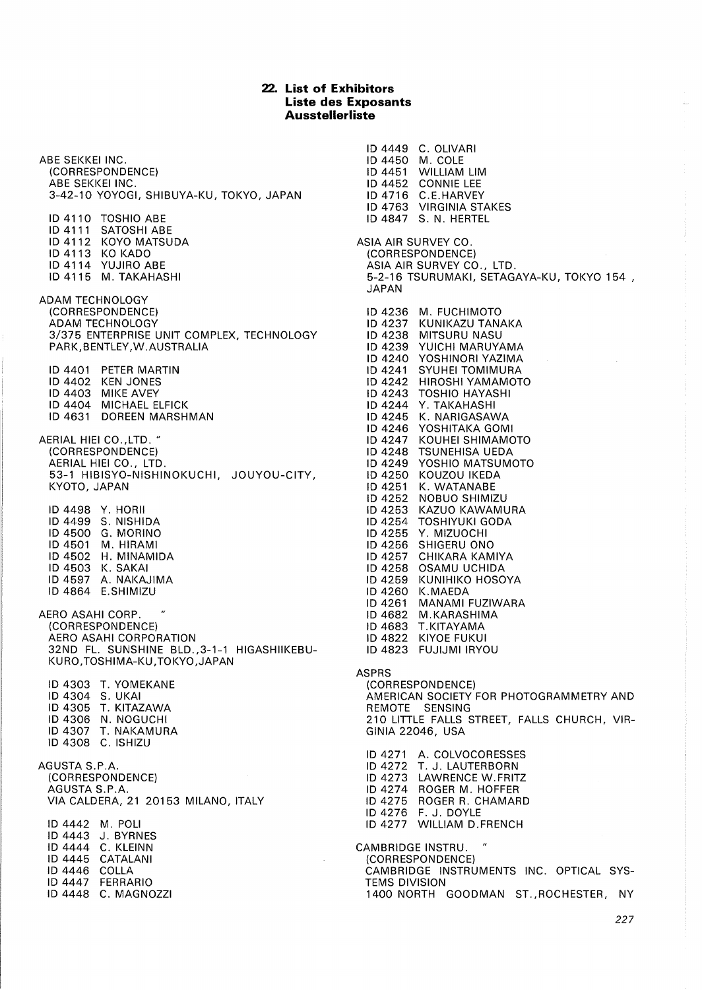## **22. List of Exhibitors Liste des Exposants Ausstellerliste**

ABE SEKKEI INC. {CORRESPONDENCE) ABE SEKKEI INC. 3-42-10 YOYOGI, SHIBUYA-KU, TOKYO, JAPAN ID 4110 TOSHIO ABE ID 4111 SATOSHI ABE ID 4112 KOYO MATSUDA ID 4113 KO KADO ID 4114 YUJIRO ABE ID 4115 M. TAKAHASHI ADAM TECHNOLOGY {CORRESPONDENCE) ADAM TECHNOLOGY 3/375 ENTERPRISE UNIT COMPLEX, TECHNOLOGY PARK,BENTLEY,W.AUSTRALIA ID 4401 PETER MARTIN ID 4402 KEN JONES ID 4403 MIKE AVEY ID 4404 MICHAEL ELFICK ID 4631 DOREEN MARSHMAN AERIAL HIEI CO.,LTD. " {CORRESPONDENCE) AERIAL HIEI CO., LTD. 53-1 HIBISYO-NISHINOKUCHI, JOUYOU-CITY, KYOTO, JAPAN ID 4498 Y. HORII ID 4499 S. NISHIDA ID 4500 G. MORINO ID 4501 M. HIRAMI ID 4502 H. MINAMIDA ID 4503 K. SAKAI ID 4597 A. NAKAJIMA ID 4864 E.SHIMIZU AERO ASAHI CORP. {CORRESPONDENCE) AERO ASAHI CORPORATION 32ND FL. SUNSHINE BLD. ,3-1-1 HIGASHIIKEBU-KURO,TOSHIMA-KU,TOKYO,JAPAN ID 4303 T. YOMEKANE ID 4304 S. UKAI ID 4305 T. KITAZAWA ID 4306 N. NOGUCHI ID 4307 T. NAKAMURA ID 4308 C. ISHIZU AGUSTA S.P.A. {CORRESPONDENCE) AGUSTA S.P.A. VIA CALDERA, 21 20153 MILANO, ITALY ID 4442 M. POLI ID 4443 J. BYRNES ID 4444 C. KLEINN ID 4445 CATALANI ID 4446 COLLA ID 4447 FERRARIO ID 4448 C. MAGNOZZI

ID 4449 C. OLIVARI ID 4450 M. COLE ID 4451 WILLIAM LIM ID 4452 CONNIE LEE ID4716 C.E.HARVEY ID 4763 VIRGINIA STAKES ID 4847 S. N. HERTEL ASIA AIR SURVEY CO. {CORRESPONDENCE) ASIA AIR SURVEY CO., LTD. 5-2-16 TSURUMAKI, SETAGAYA-KU, TOKYO 154 , JAPAN ID 4236 M. FUCHIMOTO ID 4237 KUNIKAZU TANAKA ID 4238 MITSURU NASU ID 4239 YUICHI MARUYAMA ID 4240 YOSHINORI YAZIMA ID 4241 SYUHEI TOMIMURA ID 4242 HIROSHI YAMAMOTO ID 4243 TOSHIO HAYASHI ID 4244 Y. TAKAHASHI ID 4245 K. NARIGASAWA ID 4246 YOSHITAKA GOMI ID 4247 KOUHEI SHIMAMOTO ID 4248 TSUNEHISA UEDA ID 4249 YOSHIO MATSUMOTO ID 4250 KOUZOU IKEDA ID 4251 K. WATANABE ID 4252 NOBUO SHIMIZU ID 4253 KAZUO KAWAMURA ID 4254 TOSHIYUKI GODA ID 4255 Y. MIZUOCHI ID 4256 SHIGERU ONO ID 4257 CHIKARA KAMIYA ID 4258 OSAMU UCHIDA ID 4259 KUNIHIKO HOSOYA ID 4260 K.MAEDA ID 4261 MANAMI FUZIWARA ID 4682 M.KARASHIMA ID 4683 T.KITAYAMA ID 4822 KIYOE FUKUI ID 4823 FUJIJMI IRYOU ASPRS {CORRESPONDENCE) AMERICAN SOCIETY FOR PHOTOGRAMMETRY AND REMOTE SENSING 210 LITTLE FALLS STREET, FALLS CHURCH, VIR-GINIA 22046, USA ID 4271 A. COLVOCORESSES ID 4272 T. J. LAUTERBORN ID 4273 LAWRENCE W.FRITZ ID 4274 ROGER M. HOFFER ID 4275 ROGER R. CHAMARD ID 4276 F. J. DOYLE ID 4277 WILLIAM D.FRENCH CAMBRIDGE INSTRU. {CORRESPONDENCE) CAMBRIDGE INSTRUMENTS INC. OPTICAL SYS-TEMS DIVISION 1400 NORTH GOODMAN ST. ,ROCHESTER, NY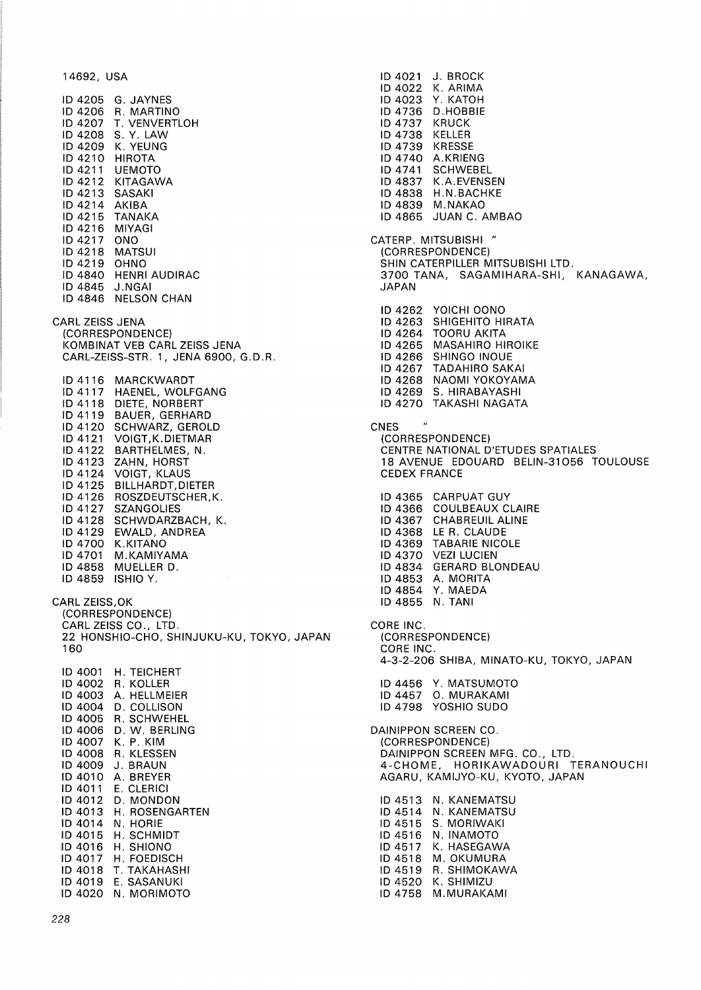14692, USA

ID 4205 G. JAYNES ID 4206 R. MARTINO ID 4207 T. VENVERTLOH ID 4208 S. Y. LAW ID 4209 K. YEUNG ID 4210 HIROTA **UEMOTO** ID 4212 KITAGAWA ID 4213 SASAKI ID 4214 AKIBA ID 4215 TANAKA ID 4216 MIYAGI ID 4217 ONO ID 4218 MATSUI<br>ID 4219 OHNO ID 4219 ID 4840 HENRI AUDIRAC ID 4845 J.NGAI ID 4846 NELSON CHAN CARL ZEISS JENA (CORRESPONDENCE) KOMBINAT VEB CARL ZEISS JENA CARL-ZEISS-STR. 1, JENA 6900, G.D.R. ID 4116 MARCKWARDT ID 4117 HAENEL, WOLFGANG ID 4118 DIETE, NORBERT ID 4119 BAUER, GERHARD ID 4120 SCHWARZ, GEROLD ID 4121 VOIGT,K.DIETMAR ID 4122 BARTHELMES, N. ID 4123 ZAHN, HORST ID 4124 VOIGT, KLAUS ID 4125 BILLHARDT,DIETER ID 4126 ROSZDEUTSCHER,K. ID 4127 SZANGOLIES ID 4128 SCHWDARZBACH, K. ID 4129 EWALD, ANDREA ID 4700 K.KITANO ID 4701 M.KAMIYAMA ID 4858 MUELLER D. ID 4859 ISHIO Y. CARL ZEISS,OK (CORRESPONDENCE) CARL ZEISS CO., LTD. 22 HONSHIO-CHO, SHINJUKU-KU, TOKYO, JAPAN 160 ID 4001 H. TEICHERT ID 4002 R. KOLLER ID 4003 A. HELLMEIER ID 4004 D. COLLISON ID 4005 R. SCHWEHEL ID 4006 D. W. BERLING ID 4007 K. P. KIM ID 4008 R. KLESSEN ID 4009 J. BRAUN ID 4010 A. BREYER ID 4011 E. CLERICI ID 4012 D. MONDON ID 4013 H. ROSENGARTEN ID 4014 N. HORIE ID 4015 H. SCHMIDT ID 4016 H. SHIONO ID 4017 H. FOEDISCH ID 4018 T. TAKAHASHI ID 4019 E. SASANUKI ID 4020 N. MORIMOTO

ID4021 J. BROCK ID 4022 K. ARIMA ID 4023 Y. KATOH ID 4736 D.HOBBIE ID 4737 KRUCK ID 4738 KELLER ID 4739 KRESSE ID 4740 A.KRIENG ID 4741 SCHWEBEL ID 4837 K.A.EVENSEN ID 4838 H.N.BACHKE ID 4839 M.NAKAO ID 4865 JUAN C. AMBAO CATERP. MITSUBISHI " (CORRESPONDENCE) SHIN CATERPILLER MITSUBISHI LTD. 3700 TANA, SAGAMIHARA-SHI, KANAGAWA, JAPAN ID 4262 YOICHI OONO ID 4263 SHIGEHITO HIRATA ID 4264 TOORU AKITA ID 4265 MASAHIRO HIROIKE ID 4266 SHINGO INOUE ID 4267 TADAHIRO SAKAI ID 4268 NAOMI YOKOYAMA ID 4269 S. HIRABAYASHI ID 4270 TAKASHI NAGATA CNES  $\mathbf{u}$ (CORRESPONDENCE) CENTRE NATIONAL D'ETUDES SPATIALES 18 AVENUE EDOUARD BELIN-31056 TOULOUSE CEDEX FRANCE ID 4365 CARPUAT GUY ID 4366 COULBEAUX CLAIRE ID 4367 CHABREUIL ALINE ID 4368 LE R. CLAUDE ID 4369 TABARIE NICOLE ID 4370 VEZI LUCIEN ID 4834 GERARD BLONDEAU ID 4853 A. MORITA ID 4854 Y. MAEDA ID 4855 N. TANI CORE INC. (CORRESPONDENCE) CORE INC. 4-3-2-206 SHIBA, MINATO-KU, TOKYO, JAPAN ID 4456 Y. MATSUMOTO ID 4457 0. MURAKAMI ID 4798 YOSHIO SUDO DAINIPPON SCREEN CO. (CORRESPONDENCE) DAINIPPON SCREEN MFG. CO., LTD. 4-CHOME, HORIKAWADOURI TERANOUCHI AGARU, KAMIJYO-KU, KYOTO, JAPAN ID 4513 N. KANEMATSU ID 4514 N. KANEMATSU ID 4515 S. MORIWAKI ID 4516 N. INAMOTO ID 4517 K. HASEGAWA ID 4518 M. OKUMURA ID 4519 R. SHIMOKAWA ID 4520 K. SHIMIZU ID 4758 M.MURAKAMI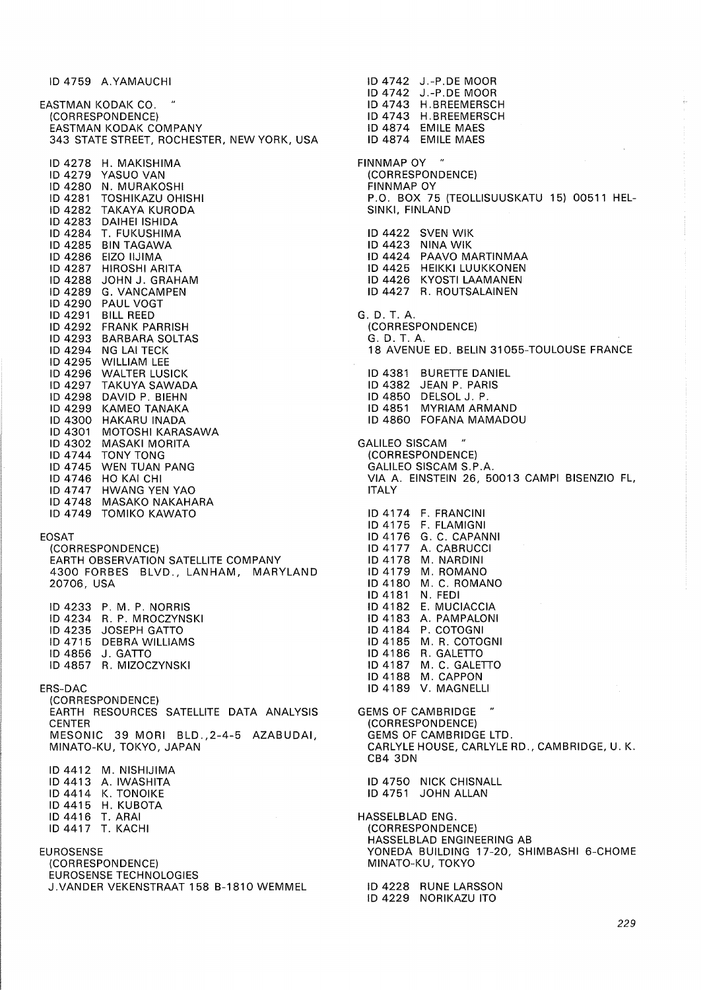ID 4759 A.YAMAUCHI EASTMAN KODAK CO. " (CORRESPONDENCE) EASTMAN KODAK COMPANY 343 STATE STREET, ROCHESTER, NEW YORK, USA ID 4278 H. MAKISHIMA ID 4279 YASUO VAN ID 4280 N. MURAKOSHI<br>ID 4281 TOSHIKAZU OHI TOSHIKAZU OHISHI ID 4282 TAKAYA KURODA ID 4283 DAIHEI ISHIDA ID 4284 T. FUKUSHIMA ID 4285 BIN TAGAWA ID 4286 EIZO IIJIMA ID 4287 HIROSHI ARITA ID 4288 JOHN J. GRAHAM ID 4289 G. VANCAMPEN ID 4290 PAUL VOGT ID 4291 BILL REED ID 4292 FRANK PARRISH ID 4293 BARBARA SOLTAS ID 4294 NG LAI TECK ID 4295 WILLIAM LEE ID 4296 WALTER LUSICK ID 4297 TAKUYA SAWADA ID 4298 DAVID P. BIEHN ID 4299 KAMEO TANAKA ID 4300 HAKARU INADA ID 4301 MOTOSHI KARASAWA ID 4302 MASAKI MORITA<br>ID 4744 TONY TONG TONY TONG ID 4745 WEN TUAN PANG ID 4746 HO KAI CHI ID 4747 HWANG YEN YAO ID 4748 MASAKO NAKAHARA ID 4749 TOMIKO KAWATO EOSAT (CORRESPONDENCE) EARTH OBSERVATION SATELLITE COMPANY 4300 FORBES BLVD., LANHAM, MARYLAND 20706, USA ID 4233 P. M. P. NORRIS ID 4234 R. P. MROCZYNSKI ID 4235 JOSEPH GATTO ID 4715 DEBRA WILLIAMS ID 4856 J. GATTO ID 4857 R. MIZOCZYNSKI ERS-DAC (CORRESPONDENCE) EARTH RESOURCES SATELLITE DATA ANALYSIS CENTER MESONIC 39 MORI BLD.,2-4-5 AZABUDAI, MINATO-KU, TOKYO, JAPAN ID4412 M. NISHIJIMA ID 4413 A. IWASHITA ID 4414 K. TONOIKE ID 4415 H. KUBOTA ID 4416 T. ARAI

EUROSENSE

ID 4417 T. KACHI

(CORRESPONDENCE) EUROSENSE TECHNOLOGIES J.VANDER VEKENSTRAAT 158 B-1810 WEMMEL

ID 4742 J.-P.DE MOOR ID 4743 H.BREEMERSCH ID 4743 H.BREEMERSCH ID 4874 EMILE MAES ID 4874 EMILE MAES **FINNMAP OY** (CORRESPONDENCE) FINNMAP OY P.O. BOX 75 (TEOLLISUUSKATU 15) 00511 HEL-SINKI, FINLAND ID 4422 SVEN WIK ID 4423 NINA WIK ID 4424 PAAVO MARTINMAA ID 4425 HEIKKI LUUKKONEN ID 4426 KYOSTI LAAMANEN ID 4427 R. ROUTSALAINEN G.D. T. A. (CORRESPONDENCE) G.D. T. A. 18 AVENUE ED. BELIN 31055-TOULOUSE FRANCE ID 4381 SURETTE DANIEL ID 4382 JEAN P. PARIS ID 4850 DELSOL J. P. ID 4851 MYRIAM ARMAND ID 4860 FOFANA MAMADOU GALILEO SISCAM (CORRESPONDENCE) GALILEO SISCAM S.P.A. VIA A. EINSTEIN 26, 50013 CAMPI BISENZIO FL, ITALY ID 4174 F. FRANCINI ID 4175 F. FLAMIGNI ID 4176 G. C. CAPANNI ID 4177 A. CABRUCCI ID4178 M. NARDINI ID 4179 M. ROMANO ID 4180 M. C. ROMANO<br>ID 4181 N. FEDI **ID 4181** ID 4182 E. MUCIACCIA ID4183 A. PAMPALONI ID 4184 P. COTOGNI ID 4185 M. R. COTOGNI ID 4186 R. GALETTO ID 4187 M. C. GALETTO ID 4188 M. CAPPON ID 4189 V. MAGNELLI **GEMS OF CAMBRIDGE** (CORRESPONDENCE) GEMS OF CAMBRIDGE LTD. CARLYLE HOUSE, CARLYLE RD., CAMBRIDGE, U. K. CB4 3DN ID 4750 NICK CHISNALL ID 4751 JOHN ALLAN HASSELBLAD ENG. (CORRESPONDENCE) HASSELBLAD ENGINEERING AB YONEDA BUILDING 17-20, SHIMBASHI 6-CHOME MINATO-KU, TOKYO

ID 4742 J.-P.DE MOOR

ID 4228 RUNE LARSSON ID 4229 NORIKAZU ITO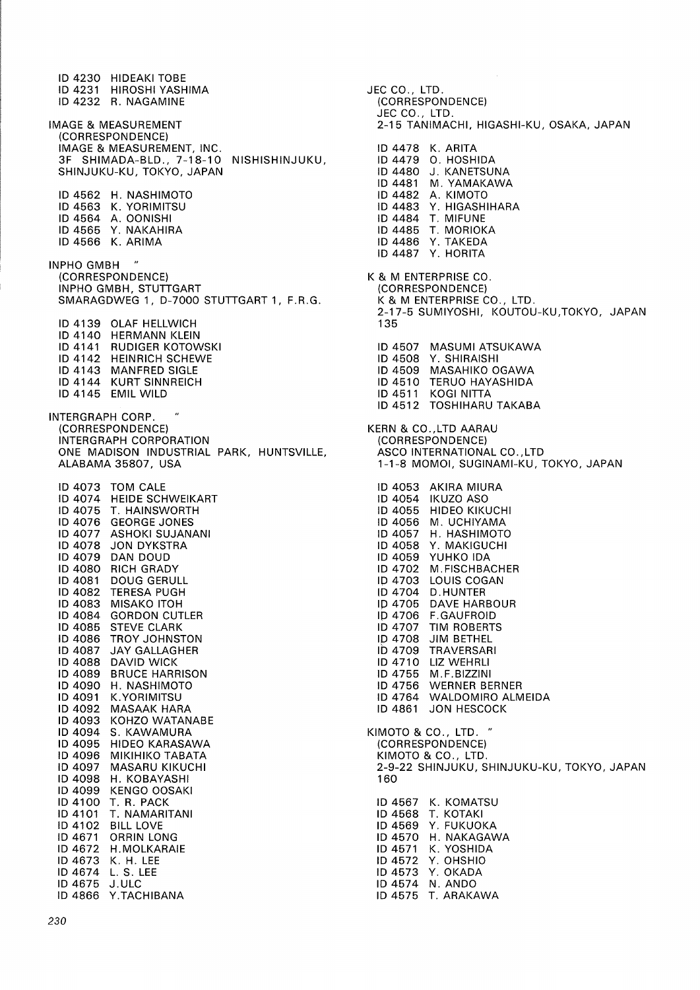ID 4230 HIDEAKI TOBE ID 4231 HIROSHI YASHIMA ID 4232 R. NAGAMINE IMAGE & MEASUREMENT (CORRESPONDENCE) IMAGE & MEASUREMENT, INC. 3F SHIMADA-BLD., 7-18-10 NISHISHINJUKU, SHINJUKU-KU, TOKYO, JAPAN ID 4562 H. NASHIMOTO ID 4563 K. YORIMITSU ID 4564 A. OONISHI ID 4565 Y. NAKAHIRA ID 4566 K. ARIMA INPHO GMBH " (CORRESPONDENCE) INPHO GMBH, STUTTGART SMARAGDWEG 1, D-7000 STUTTGART 1, F.R.G. ID 4139 OLAF HELLWICH ID 4140 HERMANN KLEIN ID 4141 RUDIGER KOTOWSKI ID 4142 HEINRICH SCHEWE ID 4143 MANFRED SIGLE ID 4144 KURT SINNREICH ID 4145 EMIL WILD INTERGRAPH CORP. (CORRESPONDENCE) INTERGRAPH CORPORATION ONE MADISON INDUSTRIAL PARK, HUNTSVILLE, ALABAMA 35807, USA ID 4073 TOM CALE ID 4074 HEIDE SCHWEIKART ID 4075 T. HAINSWORTH ID 4076 GEORGE JONES ID 4077 ASHOKI SUJANANI ID 4078 JON DYKSTRA ID 4079 DAN DOUD ID 4080 RICH GRADY<br>ID 4081 DOUG GERUI DOUG GERULL ID 4082 TERESA PUGH ID 4083 MISAKO ITOH ID 4084 GORDON CUTLER ID 4085 STEVE CLARK ID 4086 TROY JOHNSTON ID 4087 JAY GALLAGHER ID 4088 DAVID WICK<br>ID 4089 BRUCE HARP **BRUCE HARRISON** ID 4090 H. NASHIMOTO ID 4091 K.YORIMITSU ID 4092 MASAAK HARA KOHZO WATANABE ID 4094 S. KAWAMURA ID 4095 HIDEO KARASAWA ID 4096 MIKIHIKO TABATA<br>ID 4097 MASARU KIKUCHI MASARU KIKUCHI ID 4098 H. KOBAYASHI ID 4099 KENGO OOSAKI ID 4100 T. R. PACK ID4101 T. NAMARITANI ID 4102 BILL LOVE ID 4671 ORRIN LONG ID 4672 H.MOLKARAIE ID 4673 K. H. LEE ID 4674 L. S. LEE ID 4675 J. ULC ID 4866 Y.TACHIBANA

JEC CO., LTD. (CORRESPONDENCE) JEC CO., LTD. 2-15 TANIMACHI, HIGASHI-KU, OSAKA, JAPAN ID 4478 K. ARITA ID 4479 0. HOSHIDA ID 4480 J. KANETSUNA ID 4481 M. YAMAKAWA ID 4482 A. KIMOTO ID 4483 Y. HIGASHIHARA ID 4484 T. MIFUNE ID 4485 T. MORIOKA ID 4486 Y. TAKEDA ID 4487 Y. HORITA K & M ENTERPRISE CO. (CORRESPONDENCE) K & M ENTERPRISE CO., LTD. 2-17-5 SUMIYOSHI, KOUTOU-KU,TOKYO, JAPAN 135 ID 4507 MASUMI ATSUKAWA ID 4508 Y. SHIRAISHI ID 4509 MASAHIKO OGAWA ID 4510 TERUO HAYASHIDA ID 4511 KOGI NITTA ID 4512 TOSHIHARU TAKABA KERN & CO.,LTD AARAU (CORRESPONDENCE) ASCO INTERNATIONAL CO.,LTD 1-1-8 MOMOI, SUGINAMI-KU, TOKYO, JAPAN ID 4053 AKIRA MIURA ID 4054 IKUZO ASO ID 4055 HIDEO KIKUCHI ID 4056 M. UCHIYAMA ID 4057 H. HASHIMOTO ID 4058 Y. MAKIGUCHI ID 4059 YUHKO IDA ID 4702 M.FISCHBACHER ID 4703 LOUIS COGAN ID 4704 D.HUNTER IP 4705 DAVE HARBOUR IP 4706 F.GAUFROID ID 4707 TIM ROBERTS ID 4708 JIM BETHEL lb 4709 TRAVERSARI ID 4710 LIZ WEHRLI<br>ID 4755 M.F.BIZZINI M.F.BIZZINI ID 4756 WERNER BERNER ID 4764 WALDOMIRO ALMEIDA ID 4861 JON HESCOCK KIMOTO & CO., LTD. " (CORRESPONDENCE) KIMOTO & CO., LTD. 2-9-22 SHINJUKU, SHINJUKU-KU, TOKYO, JAPAN 160 ID 4567 K. KOMATSU ID 4568 T. KOTAKI ID 4569 Y. FUKUOKA ID 4570 H. NAKAGAWA ID 4571 K. YOSHIDA ID 4572 Y. OHSHIO ID 4573 Y. OKADA ID 4574 N. ANDO ID 4575 T. ARAKAWA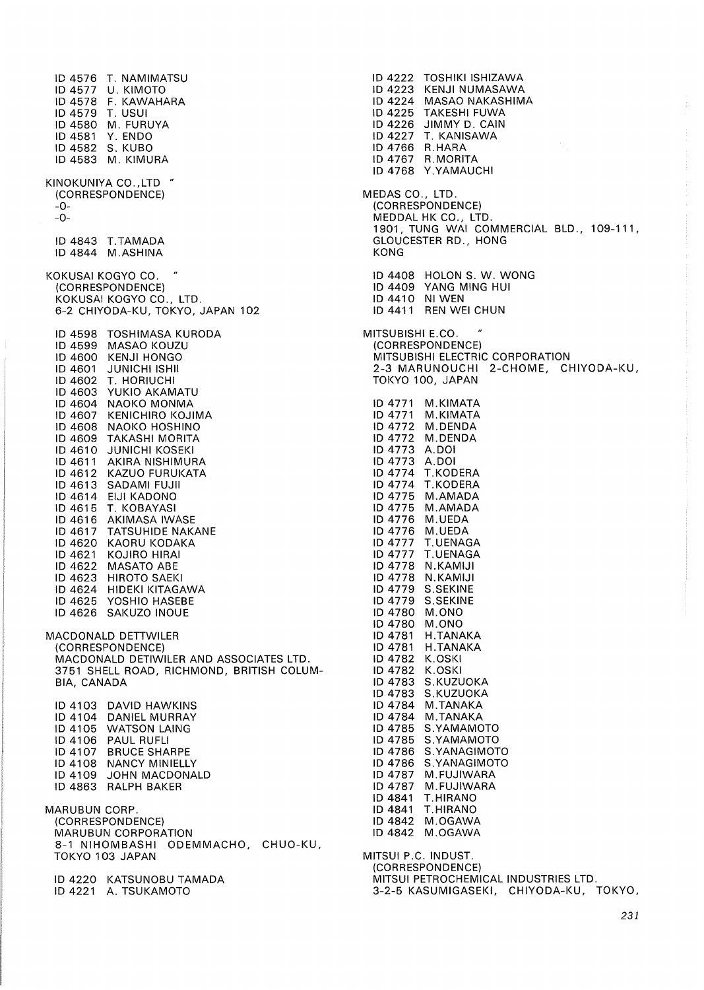ID 4576 T. NAMIMATSU ID 4577 U. KIMOTO ID 4578 F. KAWAHARA ID 4579 T. USUI ID 4580 M. FURUYA ID 4581 Y. ENDO ID 4582 S. KUBO ID 4583 M. KIMURA KINOKUNIYA CO. ,LTD " {CORRESPONDENCE) -0- -0- ID 4843 T.TAMADA ID 4844 M.ASHINA KOKUSAI KOGYO CO. " {CORRESPONDENCE) KOKUSAI KOGYO CO., LTD. 6-2 CHIYODA-KU, TOKYO, JAPAN 102 ID 4598 TOSHIMASA KURODA ID 4599 MASAO KOUZU ID 4600 KENJI HONGO ID 4601 JUNICHI ISHII ID 4602 T. HORIUCHI ID 4603 YUKIO AKAMATU ID 4604 NAOKO MONMA ID 4607 KENICHIRO KOJIMA ID 4608 NAOKO HOSHINO ID 4609 TAKASHI MORITA ID 4610 JUNICHI KOSEK! ID 4611 AKIRA NISHIMURA ID 4612 KAZUO FURUKATA ID 4613 SADAMI FUJII ID 4614 EIJI KADONO ID 4615 T. KOBAYASI ID 4616 AKIMASA IWASE ID 4617 TATSUHIDE NAKANE ID 4620 KAORU KODAKA ID 4621 KOJIRO HIRAI ID 4622 MASATO ABE ID 4623 HIROTO SAEKI ID 4624 HIDEKI KITAGAWA ID 4625 YOSHIO HASEBE ID 4626 SAKUZO INOUE MACDONALD DETTWILER {CORRESPONDENCE) MACDONALD DETIWILER AND ASSOCIATES LTD. 3751 SHELL ROAD, RICHMOND, BRITISH COLUM-BIA, CANADA ID 4103 DAVID HAWKINS ID 4104 DANIEL MURRAY ID 4105 WATSON LAING ID 4106 PAUL RUFLI ID 4107 BRUCE SHARPE ID 4108 NANCY MINIELLY ID 4109 JOHN MACDONALD ID 4863 RALPH BAKER MARUBUN CORP. {CORRESPONDENCE) MARUBUN CORPORATION 8-1 NIHOMBASHI ODEMMACHO, CHUO-KU, TOKYO 103 JAPAN ID 4220 KATSUNOBU TAMADA ID 4221 A. TSUKAMOTO

MEDAS CO., LTD. {CORRESPONDENCE) MEDDAL HK CO., LTD. 1901, TUNG WAI COMMERCIAL BLD., 109-111, GLOUCESTER RD., HONG KONG ID 4408 HOLON S. W. WONG ID 4409 YANG MING HUI ID 4410 NI WEN ID 4411 REN WEI CHUN MITSUBISHI E.CO. {CORRESPONDENCE) MITSUBISHI ELECTRIC CORPORATION 2-3 MARUNOUCHI 2-CHOME, CHIYODA-KU, TOKYO 100, JAPAN ID 4771 M.KIMATA ID 4771 M.KIMATA ID 4772 M.DENDA ID 4772 M.DENDA ID 4773 A.DOI ID 4773 A.DOI ID 4774 T.KODERA ID 4774 T.KODERA ID 4775 M.AMADA ID 4775 M.AMADA ID 4776 M.UEDA ID 4776 M.UEDA ID 4777 T.UENAGA ID 4777 T.UENAGA ID 4778 N.KAMIJI ID 4778 N.KAMIJI ID 4779 S.SEKINE ID 4779 S.SEKINE ID 4780 M.ONO ID 4780 M.ONO ID 4781 H.TANAKA ID 4781 H.TANAKA ID 4782 K.OSKI ID 4782 K.OSKI ID 4783 S.KUZUOKA ID 4783 S.KUZUOKA ID 4784 M.TANAKA ID 4784 M.TANAKA ID 4785 S.YAMAMOTO ID 4785 S.YAMAMOTO ID 4786 S.YANAGIMOTO ID 4786 S.YANAGIMOTO ID 4787 M.FUJIWARA ID 4787 M. FUJIWARA ID 4841 T.HIRANO ID 4841 T.HIRANO ID 4842 M.OGAWA ID 4842 M.OGAWA MITSUI P.C. INDUST. {CORRESPONDENCE) MITSUI PETROCHEMICAL INDUSTRIES LTD. 3-2-5 KASUMIGASEKI, CHIYODA-KU, TOKYO, 231

ID 4222 TOSHIKI ISHIZAWA ID 4223 KENJI NUMASAWA ID 4224 MASAO NAKASHIMA ID 4225 TAKESHI FUWA ID 4226 JIMMY D. CAIN ID 4227 T. KANISAWA ID 4766 R.HARA ID 4767 R.MORITA ID 4768 Y.YAMAUCHI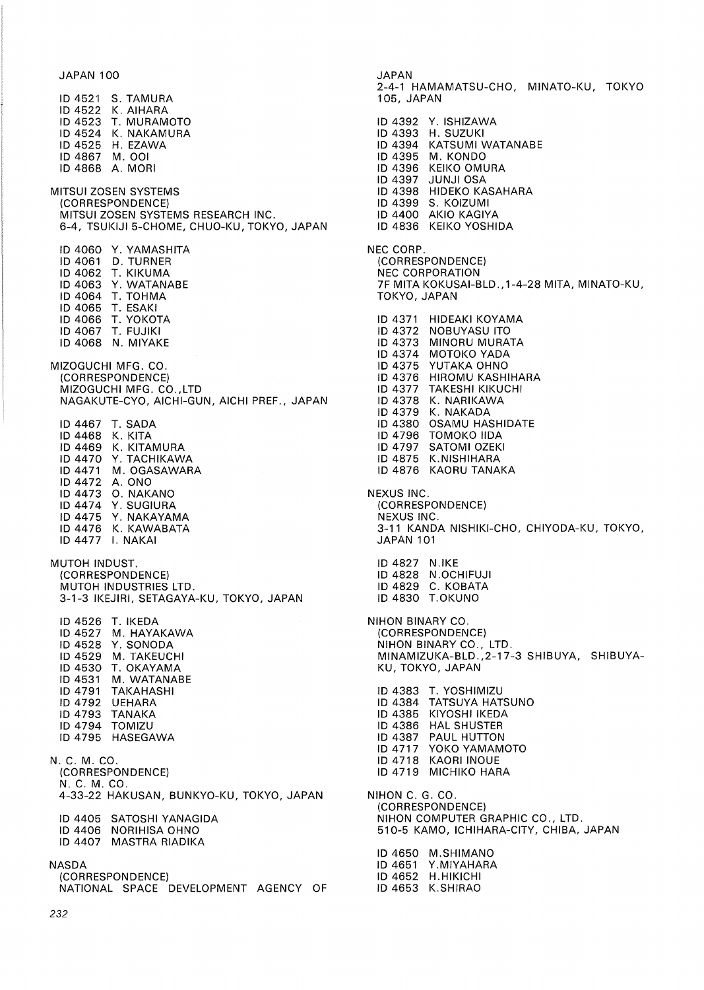JAPAN 100

ID 4521 S. TAMURA ID 4522 K. AIHARA ID 4523 T. MURAMOTO ID 4524 K. NAKAMURA ID 4525 H. EZAWA ID 4867 M. 001 ID 4868 A. MORI MITSUI ZOSEN SYSTEMS (CORRESPONDENCE} MITSUI ZOSEN SYSTEMS RESEARCH INC. 6-4, TSUKIJI 5-CHOME, CHUO-KU, TOKYO, JAPAN ID 4060 Y. YAMASHITA ID 4061 D. TURNER ID 4062 T. KIKUMA ID 4063 Y. WATANABE ID 4064 T. TOHMA ID 4065 T. ESAKI ID 4066 T. YOKOTA ID 4067 T. FUJIKI ID 4068 N. MIYAKE MIZOGUCHI MFG. CO. (CORRESPONDENCE} MIZOGUCHI MFG. CO.,LTD NAGAKUTE-CYO, AICHI-GUN, AICHI PREF., JAPAN ID 4467 T. SADA ID 4468 K. KITA ID 4469 K. KITAMURA ID 4470 Y. TACHIKAWA ID 4471 M. OGASAWARA ID 4472 A. ONO ID 4473 0. NAKANO ID 4474 Y. SUGIURA ID 4475 Y. NAKAYAMA ID 4476 K. KAWABATA ID 4477 I. NAKAI MUTOH INDUST. (CORRESPONDENCE} MUTOH INDUSTRIES LTD. 3-1-3 IKEJIRI, SETAGAYA-KU, TOKYO, JAPAN ID 4526 T. IKEDA ID 4527 M. HAYAKAWA ID 4528 Y. SONODA ID 4529 M. TAKEUCHI ID 4530 T. OKAYAMA ID 4531 M. WATANABE ID 4791 TAKAHASHI ID 4792 UEHARA ID 4793 TANAKA ID 4794 TOMIZU ID 4795 HASEGAWA N. C. M. CO. (CORRESPONDENCE} N. C. M. CO. 4-33-22 HAKUSAN, BUNKYO-KU, TOKYO, JAPAN ID 4405 SATOSHI YANAGIDA ID 4406 NORIHISA OHNO ID 4407 MASTRA RIADIKA NASDA (CORRESPONDENCE} NATIONAL SPACE DEVELOPMENT AGENCY OF

JAPAN 2-4-1 HAMAMATSU-CHO, MINATO-KU, TOKYO 105, JAPAN ID 4392 Y. ISHIZAWA ID 4393 H. SUZUKI ID 4394 KATSUMI WATANABE ID 4395 M. KONDO ID 4396 KEIKO OMURA ID 4397 JUNJI OSA ID 4398 HIDEKO KASAHARA ID 4399 S. KOIZUMI ID 4400 AKIO KAGIYA ID 4836 KEIKO YOSHIDA NEC CORP. (CORRESPONDENCE} NEC CORPORATION 7F MITA KOKUSAI-BLD., 1-4-28 MITA, MINATO-KU, TOKYO, JAPAN ID 4371 HIDEAKI KOYAMA ID 4372 NOBUYASU ITO ID 4373 MINORU MURATA<br>ID 4374 MOTOKO YADA MOTOKO YADA ID 4375 YUTAKA OHNO<br>ID 4376 HIROMU KASH ID 4376 HIROMU KASHIHARA<br>ID 4377 TAKESHI KIKUCHI TAKESHI KIKUCHI ID 4378 K. NARIKAWA<br>ID 4379 K. NAKADA K. NAKADA ID 4380 OSAMU HASHIDATE ID 4796 TOMOKO IIDA SATOMI OZEKI ID 4875 K.NISHIHARA ID 4876 KAORU TANAKA NEXUS INC. (CORRESPONDENCE} NEXUS INC. 3-11 KANDA NISHIKI-CHO, CHIYODA-KU, TOKYO, JAPAN 101 ID 4827 N.IKE ID 4828 N .OCHIFUJI ID 4829 C. KOBATA ID 4830 T.OKUNO NIHON BINARY CO. (CORRESPONDENCE} NIHON BINARY CO., LTD. MINAMIZUKA-BLD.,2-17-3 SHIBUYA, SHIBUYA-KU, TOKYO, JAPAN ID 4383 T. YOSHIMIZU ID 4384 TATSUYA HATSUNO ID 4385 KIYOSHI IKEDA ID 4386 HAL SHUSTER ID 4387 PAUL HUTTON ID 4717 YOKO YAMAMOTO ID 4718 KAORI INOUE ID 4719 MICHIKO HARA NIHON C. G. CO. (CORRESPONDENCE} NIHON COMPUTER GRAPHIC CO., LTD. 510-5 KAMO, ICHIHARA-CITY, CHIBA, JAPAN ID 4650 M.SHIMANO ID 4651 Y.MIYAHARA ID 4652 H.HIKICHI

ID 4653 K.SHIRAO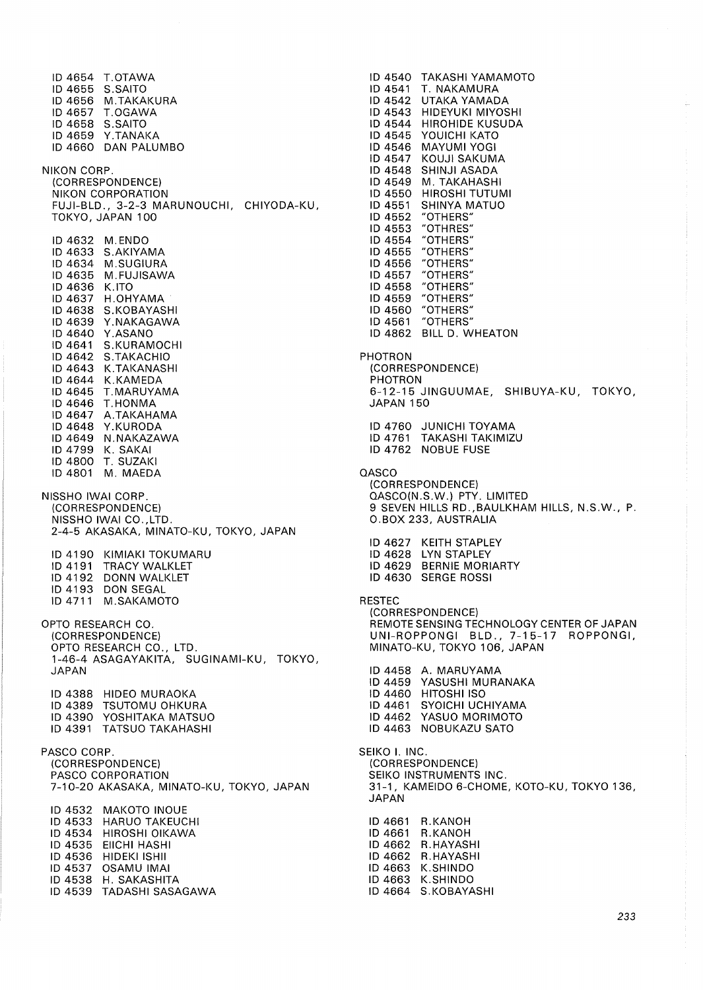ID 4654 T.OTAWA ID 4655 S.SAITO ID 4656 M.TAKAKURA ID 4657 T.OGAWA ID 4658 S.SAITO ID 4659 Y.TANAKA ID 4660 DAN PALUMBO NIKON CORP. {CORRESPONDENCE) NIKON CORPORATION FUJI-BLD., 3-2-3 MARUNOUCHI, CHIYODA-KU, TOKYO, JAPAN 100 ID 4632 M. ENDO ID 4633 S.AKIYAMA ID 4634 M.SUGIURA ID 4635 M.FUJISAWA ID 4636 K.ITO ID 4637 H.OHYAMA ID 4638 S.KOBAYASHI ID 4639 Y.NAKAGAWA ID 4640 Y.ASANO ID 4641 S.KURAMOCHI ID 4642 S.TAKACHIO ID 4643 K.TAKANASHI ID 4644 K.KAMEDA ID 4645 T.MARUYAMA ID 4646 T.HONMA ID 4647 A.TAKAHAMA ID 4648 Y.KURODA ID 4649 N.NAKAZAWA ID 4799 K. SAKAI ID 4800 T. SUZAKI ID 4801 M. MAEDA NISSHO IWAI CORP. {CORRESPONDENCE) NISSHO IWAI CO.,LTD. 2-4-5 AKASAKA, MINATO-KU, TOKYO, JAPAN ID 4190 KIMIAKI TOKUMARU ID 4191 TRACY WALKLET ID 4192 DONN WALKLET ID 4193 DON SEGAL ID 4711 M.SAKAMOTO OPTO RESEARCH CO. {CORRESPONDENCE) OPTO RESEARCH CO., LTD. 1-46-4 ASAGAYAKITA, SUGINAMI-KU, TOKYO, JAPAN ID 4388 HIDEO MURAOKA ID 4389 TSUTOMU OHKURA ID 4390 YOSHITAKA MATSUO ID 4391 TATSUO TAKAHASHI PASCO CORP. {CORRESPONDENCE) PASCO CORPORATION 7-10-20 AKASAKA, MINATO-KU, TOKYO, JAPAN ID 4532 MAKOTO INOUE ID 4533 HARUO TAKEUCHI ID 4534 HIROSHI OIKAWA ID 4535 EIICHI HASHI ID 4536 HIDEKI ISHII ID 4537 OSAMU IMAI ID 4538 H. SAKASHITA ID 4539 TADASHI SASAGAWA

ID 4540 TAKASHI YAMAMOTO ID 4541 T. NAKAMURA ID 4542 UTAKA YAMADA ID 4543 HIDEYUKI MIYOSHI ID 4544 HIROHIDE KUSUDA ID 4545 YOUICHI KATO ID 4546 MAYUMI YOGI ID 4547 KOUJI SAKUMA ID 4548 SHINJI ASADA ID 4549 M. TAKAHASHI ID 4550 HIROSHI TUTUMI ID 4551 SHINYA MATUO ID 4552 "OTHERS" ID 4553 "OTHRES"<br>ID 4554 "OTHERS" "OTHERS" ID 4555 "OTHERS"<br>ID 4556 "OTHERS" ID 4556 "OTHERS"<br>ID 4557 "OTHERS" ID 4557 "OTHERS"<br>ID 4558 "OTHERS" ID 4558 "OTHERS"<br>ID 4559 "OTHERS" "OTHERS" ID 4560 "OTHERS" ID 4561 "OTHERS" ID 4862 BILL D. WHEATON PHOTRON {CORRESPONDENCE) PHOTRON 6-12-15 JINGUUMAE, SHIBUYA-KU, TOKYO, JAPAN 150 ID 4760 JUNICHI TOYAMA ID 4761 TAKASHI TAKIMIZU ID 4762 NOBUE FUSE **QASCO** (CORRESPONDENCE) QASCO{N.S.W.) PTY. LIMITED 9 SEVEN HILLS RD.,BAULKHAM HILLS, N.S.W., P. O.BOX 233, AUSTRALIA ID 4627 KEITH STAPLEY ID 4628 LYN STAPLEY ID 4629 BERNIE MORIARTY ID 4630 SERGE ROSSI RESTEC (CORRESPONDENCE) REMOTE SENSING TECHNOLOGY CENTER OF JAPAN UNI-ROPPONGI BLD., 7-15-17 ROPPONGI, MINATO-KU, TOKYO 106, JAPAN ID 4458 A. MARUYAMA ID 4459 YASUSHI MURANAKA ID 4460 HITOSHI ISO ID 4461 SYOICHI UCHIYAMA ID 4462 YASUO MORIMOTO ID 4463 NOBUKAZU SATO SEIKO I. INC. {CORRESPONDENCE) SEIKO INSTRUMENTS INC. 31-1, KAMEIDO 6-CHOME, KOTO-KU, TOKYO 136, JAPAN ID 4661 R.KANOH ID 4661 R.KANOH ID 4662 R.HAYASHI ID 4662 R.HAYASHI ID 4663 K.SHINDO ID 4663 K.SHINDO ID 4664 S.KOBAYASHI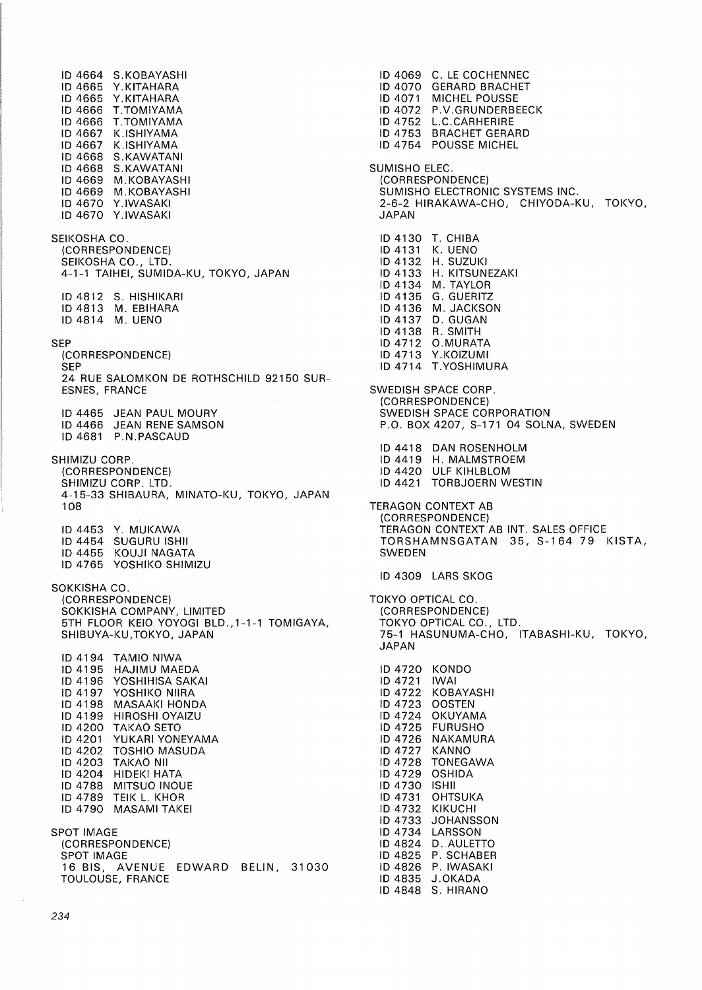ID 4664 S.KOBAYASHI ID 4665 Y.KITAHARA ID 4665 Y.KITAHARA ID 4666 T.TOMIYAMA ID 4666 T.TOMIYAMA ID 4667 K.ISHIYAMA ID 4667 K.ISHIYAMA ID 4668 S.KAWATANI ID 4668 S.KAWATANI ID 4669 M.KOBAYASHI ID 4669 M.KOBAYASHI ID 4670 Y.IWASAKI ID 4670 Y.IWASAKI SEIKOSHA CO. (CORRESPONDENCE) SEIKOSHA CO., LTD. 4-1-1 TAIHEI, SUMIDA-KU, TOKYO, JAPAN ID 4812 S. HISHIKARI ID 4813 M. EBIHARA ID4814 M. UENO SEP (CORRESPONDENCE) **SEP** 24 RUE SALOMKON DE ROTHSCHILD 92150 SUR-ESNES, FRANCE ID 4465 JEAN PAUL MOURY ID 4466 JEAN RENE SAMSON ID 4681 P.N.PASCAUD SHIMIZU CORP. (CORRESPONDENCE) SHIMIZU CORP. LTD. 4-15-33 SHIBAURA, MINATO-KU, TOKYO, JAPAN 108 ID 4453 Y. MUKAWA ID 4454 SUGURU ISHII ID 4455 KOUJI NAGATA ID 4765 YOSHIKO SHIMIZU SOKKISHA CO. (CORRESPONDENCE) SOKKISHA COMPANY, LIMITED 5TH FLOOR KEIO YOYOGI BLD., 1-1-1 TOMIGAYA, SHIBUYA-KU,TOKYO, JAPAN ID 4194 TAMIO NIWA ID 4195 HAJIMU MAEDA ID 4196 YOSHIHISA SAKAI<br>ID 4197 YOSHIKO NIIRA YOSHIKO NIIRA ID 4198 MASAAKI HONDA ID 4199 HIROSHI OYAIZU ID 4200 TAKAO SETO<br>ID 4201 YUKARI YONI YUKARI YONEYAMA ID 4202 TOSHIO MASUDA ID 4203 TAKAO NII ID 4204 HIDEKI HATA<br>ID 4788 MITSUO INOU MITSUO INOUE ID 4789 TEIK L. KHOR ID 4790 MASAMI TAKEI SPOT IMAGE (CORRESPONDENCE) SPOT IMAGE 16 BIS, AVENUE EDWARD BELIN, 31030 TOULOUSE, FRANCE

ID 4069 C. LE COCHENNEC ID 4070 GERARD BRACHET ID 4071 MICHEL POUSSE ID 4072 P.V.GRUNDERBEECK ID 4752 L.C.CARHERIRE ID 4753 BRACHET GERARD ID 4754 POUSSE MICHEL SUMISHO ELEC. (CORRESPONDENCE) SUMISHO ELECTRONIC SYSTEMS INC. 2-6-2 HIRAKAWA-CHO, CHIYODA-KU, TOKYO, JAPAN ID 4130 T. CHIBA ID4131 K.UENO ID 4132 H. SUZUKI ID 4133 H. KITSUNEZAKI ID 4134 M. TAYLOR ID4135 G.GUERITZ ID4136 M.JACKSON ID 4137 D. GUGAN ID4138 R.SMITH ID 4712 O.MURATA ID 4713 Y.KOIZUMI ID 4714 T.YOSHIMURA SWEDISH SPACE CORP. (CORRESPONDENCE) SWEDISH SPACE CORPORATION P.O. BOX 4207, S-171 04 SOLNA, SWEDEN ID 4418 DAN ROSENHOLM ID 4419 H. MALMSTROEM ID 4420 ULF KIHLBLOM ID 4421 TORBJOERN WESTIN TERAGON CONTEXT AB (CORRESPONDENCE) TERAGON CONTEXT AB INT. SALES OFFICE TORSHAMNSGATAN 35, S-164 79 KISTA, **SWEDEN** ID 4309 LARS SKOG TOKYO OPTICAL CO. (CORRESPONDENCE) TOKYO OPTICAL CO., LTD. 75-1 HASUNUMA-CHO, ITABASHI-KU, TOKYO, JAPAN ID 4720 KONDO ID 4721 IWAI ID 4722 KOBAYASHI ID 4723 OOSTEN ID 4724 OKUYAMA ID 4725 FURUSHO ID 4726 NAKAMURA<br>ID 4727 KANNO ID 4727 ID 4728 TONEGAWA ID 4729 OSHIDA ID 4730 ISHII **OHTSUKA** ID 4732 KIKUCHI ID 4733 JOHANSSON ID 4734 LARSSON ID 4824 D. AULETTO ID 4825 P. SCHABER ID 4826 P. IWASAKI ID 4835 J.OKADA

ID 4848 S. HIRANO